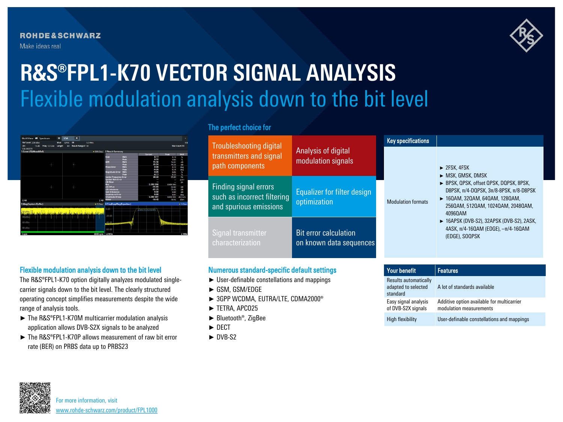**ROHDE&SCHWARZ** Make ideas real



# Flexible modulation analysis down to the bit level **R&S®FPL1-K70 VECTOR SIGNAL ANALYSIS**

| MultiView <b>ED</b> Spectrum                  |  |                    | $\boldsymbol{\mathsf{x}}$ | <b>VSA</b>  | $\overline{\mathbf{x}}$ |                   |                                |                    |                      |                     | ۰                    |
|-----------------------------------------------|--|--------------------|---------------------------|-------------|-------------------------|-------------------|--------------------------------|--------------------|----------------------|---------------------|----------------------|
| Ref Level 2.00 dBm                            |  |                    | Mod                       | <b>OPSK</b> | <b>SR</b>               | <b>1.0 MHz</b>    |                                |                    |                      |                     | <b>SGL</b>           |
| Att<br><b>FOUAUZER</b>                        |  | 15 dB Freq 1.0 GHz | Length                    | 60          | Result Range # 10       |                   |                                |                    |                      |                     | <b>Stat Count 10</b> |
| 1 Const I/Q(Meas&Ref)                         |  |                    |                           |             |                         | $\bullet$ 1M Clrw | <b>2 Result Summary</b>        |                    |                      |                     |                      |
|                                               |  |                    |                           |             |                         |                   |                                |                    | Current              | Peak                | Unit                 |
|                                               |  |                    |                           |             |                         |                   | <b>EVM</b>                     | <b>RMS</b>         | 0.17                 | 0.19                | $\infty$             |
|                                               |  |                    |                           |             |                         |                   |                                | Peak               | 0.53                 | 0.60                | $\frac{1}{2}$        |
|                                               |  |                    |                           |             |                         |                   | <b>MER</b>                     | <b>RMS</b>         | 55.36                | 54.61               | dB                   |
|                                               |  | ٠                  |                           |             | ÷                       |                   |                                | Peak               | 45.54                | 44.39               | dB                   |
|                                               |  |                    |                           |             |                         |                   | <b>Phase Error</b>             | <b>RMS</b><br>Peak | 0.09<br>$-0.30$      | 0.10                | deg                  |
|                                               |  |                    |                           |             |                         |                   | <b>Magnitude Error</b>         | RMS                | 0.05                 | 0.34<br>0.05        | deg<br>$\infty$      |
|                                               |  |                    |                           |             |                         |                   |                                | Peak               | $-0.17$              | 0.20                | $\infty$             |
|                                               |  |                    |                           |             |                         |                   | <b>Carrier Frequency Error</b> |                    | 68.50                | 69.00               | Hz.                  |
|                                               |  |                    |                           |             |                         |                   | <b>Symbol Rate Error</b>       |                    | I                    | I                   | ppm                  |
|                                               |  |                    |                           |             |                         |                   | I/O Skew                       |                    | I                    | I                   | DS.                  |
|                                               |  |                    |                           |             |                         |                   | <b>Rho</b>                     |                    | 0.999.998            | 0.999.996           |                      |
|                                               |  |                    |                           |             |                         |                   | I/Q Offset                     |                    | -55.93               | -54.60              | dB                   |
|                                               |  |                    |                           |             |                         |                   | I/Q Imbalance                  |                    | 82 25                | -75.42              | иR                   |
|                                               |  |                    |                           |             |                         |                   | <b>Gain Imbalance</b>          |                    | 0.00                 | 0.00                | dB                   |
|                                               |  |                    |                           |             |                         |                   | Quadrature Error               |                    | 0.00                 | 0.01                | dea                  |
|                                               |  |                    |                           |             |                         |                   | <b>Amplitude Droop</b>         |                    | 0.000.001            | 0.000 003           | dB/sym               |
| $-2.48$                                       |  |                    |                           |             |                         |                   | Power<br>2.48                  |                    | $-10.45$             | $-10.45$            | dBm                  |
| 3 Mag(Capture Buffer)                         |  |                    |                           |             |                         | • 1 Grw           | 4 FreqRespMag(Equalizer)       |                    |                      |                     | $\bullet$ 1 Clrw     |
|                                               |  |                    |                           |             |                         |                   | $0$ dB-                        |                    |                      |                     |                      |
|                                               |  |                    |                           |             |                         |                   |                                |                    | usable tro Bandwidth |                     |                      |
| distinct to distinct to<br>تع صادات الاتحادات |  |                    |                           |             |                         |                   |                                |                    |                      |                     |                      |
| dBrr                                          |  |                    | $-20$ dB                  |             |                         |                   |                                |                    |                      |                     |                      |
|                                               |  |                    |                           |             |                         |                   |                                |                    |                      |                     |                      |
| 60 dBm                                        |  |                    |                           |             |                         |                   | $-40$ dB $-$                   |                    |                      |                     |                      |
|                                               |  |                    |                           |             |                         |                   | annasaluwaannassan             |                    |                      | Advisers considers. |                      |
|                                               |  |                    |                           |             |                         |                   |                                |                    |                      |                     |                      |
| -80 dBm                                       |  |                    |                           |             |                         |                   | $-60$ dB                       |                    |                      |                     |                      |
|                                               |  |                    |                           |             |                         |                   |                                |                    |                      |                     |                      |

# The perfect choice for

| <b>Troubleshooting digital</b>                                                        |                                                         | <b>Key specifications</b> |                                                                                                                                                                                                                                                                                          |  |  |  |
|---------------------------------------------------------------------------------------|---------------------------------------------------------|---------------------------|------------------------------------------------------------------------------------------------------------------------------------------------------------------------------------------------------------------------------------------------------------------------------------------|--|--|--|
| transmitters and signal<br>path components                                            | Analysis of digital<br>modulation signals               |                           | $\blacktriangleright$ 2FSK, 4FSK<br>$\triangleright$ MSK, GMSK, DMSK                                                                                                                                                                                                                     |  |  |  |
| <b>Finding signal errors</b><br>such as incorrect filtering<br>and spurious emissions | Equalizer for filter design<br>optimization             | <b>Modulation formats</b> | BPSK, QPSK, offset QPSK, DQPSK, 8PSK,<br>D8PSK. TT/4-DQPSK. 3TT/8-8PSK. TT/8-D8PSK<br>▶ 160AM, 320AM, 640AM, 1280AM,<br>2560AM, 5120AM, 10240AM, 20480AM,<br>40960AM<br>$\triangleright$ 16APSK (DVB-S2), 32APSK (DVB-S2), 2ASK,<br>4ASK, π/4-16QAM (EDGE), -π/4-16QAM<br>(EDGE), SOOPSK |  |  |  |
| Signal transmitter<br>characterization                                                | <b>Bit error calculation</b><br>on known data sequences |                           |                                                                                                                                                                                                                                                                                          |  |  |  |

# Flexible modulation analysis down to the bit level

The R&S®FPL1-K70 option digitally analyzes modulated singlecarrier signals down to the bit level. The clearly structured operating concept simplifies measurements despite the wide range of analysis tools.

- ► The R&S®FPL1-K70M multicarrier modulation analysis application allows DVB-S2X signals to be analyzed
- ► The R&S®FPL1-K70P allows measurement of raw bit error rate (BER) on PRBS data up to PRBS23
- Numerous standard-specific default settings
- ► User-definable constellations and mappings
- ► GSM, GSM/EDGE
- ► 3GPP WCDMA, EUTRA/LTE, CDMA2000®
- ► TETRA, APCO25
- ► Bluetooth®, ZigBee
- ► DECT
- ► DVB-S2

| <b>Your benefit</b>                                      | <b>Features</b>                                                       |  |  |  |  |
|----------------------------------------------------------|-----------------------------------------------------------------------|--|--|--|--|
| Results automatically<br>adapted to selected<br>standard | A lot of standards available                                          |  |  |  |  |
| Easy signal analysis<br>of DVB-S2X signals               | Additive option available for multicarrier<br>modulation measurements |  |  |  |  |
| <b>High flexibility</b>                                  | User-definable constellations and mappings                            |  |  |  |  |